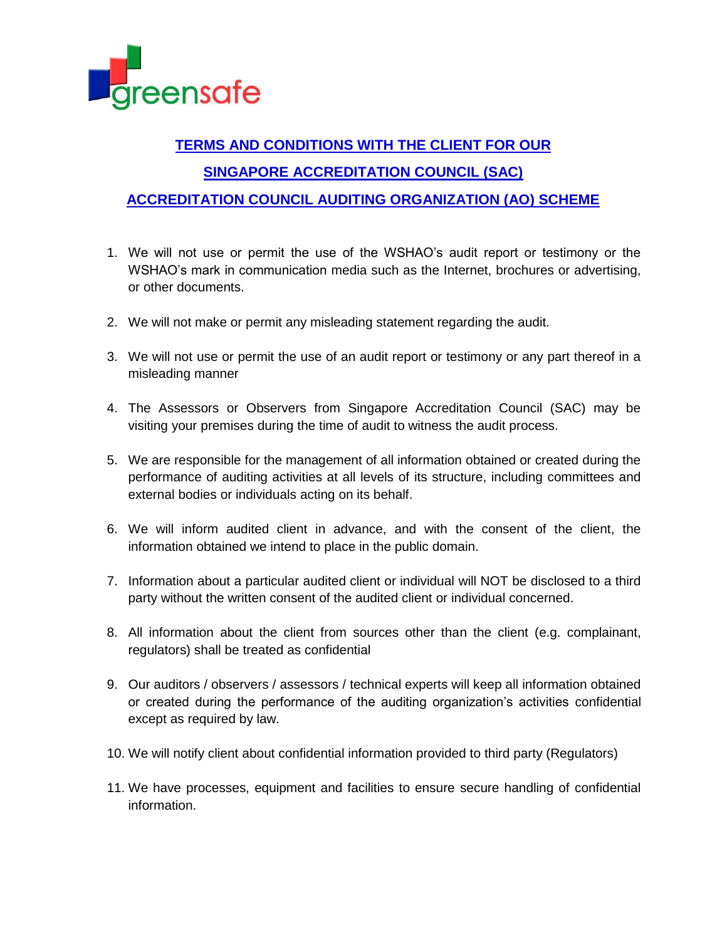

## **TERMS AND CONDITIONS WITH THE CLIENT FOR OUR SINGAPORE ACCREDITATION COUNCIL (SAC) ACCREDITATION COUNCIL AUDITING ORGANIZATION (AO) SCHEME**

- 1. We will not use or permit the use of the WSHAO's audit report or testimony or the WSHAO's mark in communication media such as the Internet, brochures or advertising, or other documents.
- 2. We will not make or permit any misleading statement regarding the audit.
- 3. We will not use or permit the use of an audit report or testimony or any part thereof in a misleading manner
- 4. The Assessors or Observers from Singapore Accreditation Council (SAC) may be visiting your premises during the time of audit to witness the audit process.
- 5. We are responsible for the management of all information obtained or created during the performance of auditing activities at all levels of its structure, including committees and external bodies or individuals acting on its behalf.
- 6. We will inform audited client in advance, and with the consent of the client, the information obtained we intend to place in the public domain.
- 7. Information about a particular audited client or individual will NOT be disclosed to a third party without the written consent of the audited client or individual concerned.
- 8. All information about the client from sources other than the client (e.g. complainant, regulators) shall be treated as confidential
- 9. Our auditors / observers / assessors / technical experts will keep all information obtained or created during the performance of the auditing organization's activities confidential except as required by law.
- 10. We will notify client about confidential information provided to third party (Regulators)
- 11. We have processes, equipment and facilities to ensure secure handling of confidential information.